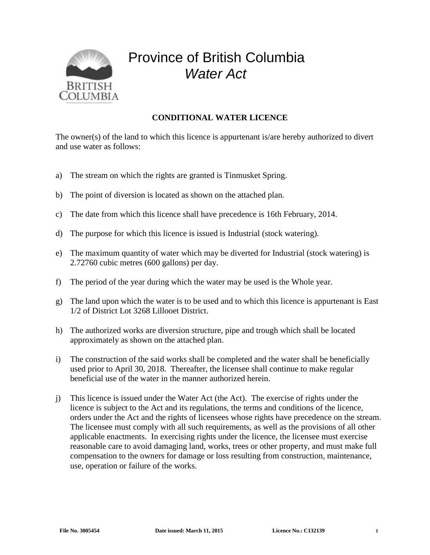

## Province of British Columbia *Water Act*

## **CONDITIONAL WATER LICENCE**

The owner(s) of the land to which this licence is appurtenant is/are hereby authorized to divert and use water as follows:

- a) The stream on which the rights are granted is Tinmusket Spring.
- b) The point of diversion is located as shown on the attached plan.
- c) The date from which this licence shall have precedence is 16th February, 2014.
- d) The purpose for which this licence is issued is Industrial (stock watering).
- e) The maximum quantity of water which may be diverted for Industrial (stock watering) is 2.72760 cubic metres (600 gallons) per day.
- f) The period of the year during which the water may be used is the Whole year.
- g) The land upon which the water is to be used and to which this licence is appurtenant is East 1/2 of District Lot 3268 Lillooet District.
- h) The authorized works are diversion structure, pipe and trough which shall be located approximately as shown on the attached plan.
- i) The construction of the said works shall be completed and the water shall be beneficially used prior to April 30, 2018. Thereafter, the licensee shall continue to make regular beneficial use of the water in the manner authorized herein.
- j) This licence is issued under the Water Act (the Act). The exercise of rights under the licence is subject to the Act and its regulations, the terms and conditions of the licence, orders under the Act and the rights of licensees whose rights have precedence on the stream. The licensee must comply with all such requirements, as well as the provisions of all other applicable enactments. In exercising rights under the licence, the licensee must exercise reasonable care to avoid damaging land, works, trees or other property, and must make full compensation to the owners for damage or loss resulting from construction, maintenance, use, operation or failure of the works.